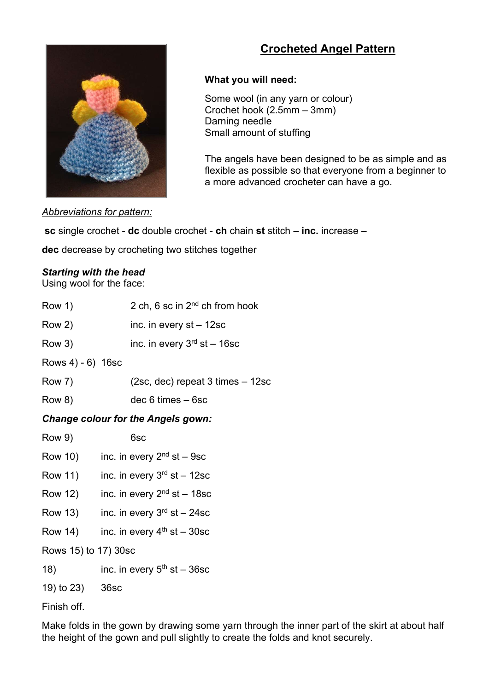# Crocheted Angel Pattern



## What you will need:

Some wool (in any yarn or colour) Crochet hook (2.5mm – 3mm) Darning needle Small amount of stuffing

 The angels have been designed to be as simple and as flexible as possible so that everyone from a beginner to a more advanced crocheter can have a go.

Abbreviations for pattern:

sc single crochet - dc double crochet - ch chain st stitch – inc. increase –

dec decrease by crocheting two stitches together

#### Starting with the head

Using wool for the face:

| Row 1)                                    | 2 ch, 6 sc in $2^{nd}$ ch from hook      |
|-------------------------------------------|------------------------------------------|
| Row 2)                                    | inc. in every $st - 12sc$                |
| Row 3)                                    | inc. in every $3rd$ st - 16sc            |
| Rows $4) - 6$ ) 16sc                      |                                          |
| Row 7)                                    | (2sc, dec) repeat 3 times - 12sc         |
| Row 8)                                    | $dec 6 times - 6sc$                      |
| <b>Change colour for the Angels gown:</b> |                                          |
| <b>Row 9)</b>                             | 6sc                                      |
|                                           | Row 10) inc. in every $2nd$ st – 9sc     |
| Row 11)                                   | inc. in every $3^{rd}$ st - 12sc         |
|                                           | Row 12) inc. in every $2^{nd}$ st – 18sc |
|                                           | Row 13) inc. in every $3rd$ st – 24sc    |
| Row 14)                                   | inc. in every $4th$ st - 30sc            |
| Rows 15) to 17) 30sc                      |                                          |
| 18)                                       | inc. in every $5th$ st – 36sc            |
| 19) to 23) 36sc                           |                                          |
|                                           |                                          |

Finish off.

Make folds in the gown by drawing some yarn through the inner part of the skirt at about half the height of the gown and pull slightly to create the folds and knot securely.